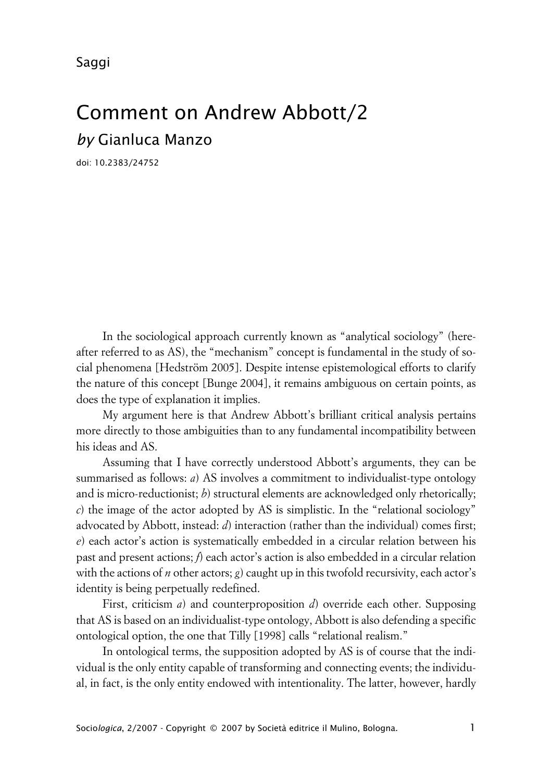Saggi

## Comment on Andrew Abbott/2 *by* Gianluca Manzo

doi: 10.2383/24752

In the sociological approach currently known as "analytical sociology" (hereafter referred to as AS), the "mechanism" concept is fundamental in the study of social phenomena [Hedström 2005]. Despite intense epistemological efforts to clarify the nature of this concept [Bunge 2004], it remains ambiguous on certain points, as does the type of explanation it implies.

My argument here is that Andrew Abbott's brilliant critical analysis pertains more directly to those ambiguities than to any fundamental incompatibility between his ideas and AS.

Assuming that I have correctly understood Abbott's arguments, they can be summarised as follows: *a*) AS involves a commitment to individualist-type ontology and is micro-reductionist; *b*) structural elements are acknowledged only rhetorically; *c*) the image of the actor adopted by AS is simplistic. In the "relational sociology" advocated by Abbott, instead: *d*) interaction (rather than the individual) comes first; *e*) each actor's action is systematically embedded in a circular relation between his past and present actions; *f*) each actor's action is also embedded in a circular relation with the actions of *n* other actors; *g*) caught up in this twofold recursivity, each actor's identity is being perpetually redefined.

First, criticism *a*) and counterproposition *d*) override each other. Supposing that AS is based on an individualist-type ontology, Abbott is also defending a specific ontological option, the one that Tilly [1998] calls "relational realism."

In ontological terms, the supposition adopted by AS is of course that the individual is the only entity capable of transforming and connecting events; the individual, in fact, is the only entity endowed with intentionality. The latter, however, hardly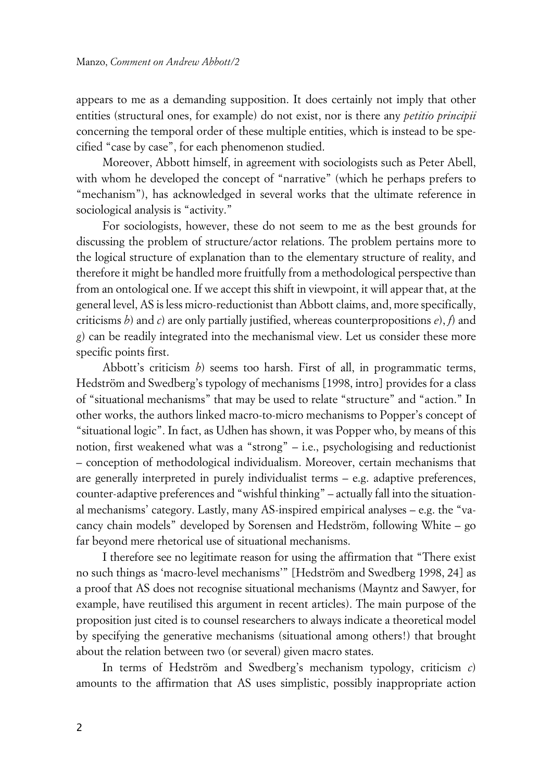appears to me as a demanding supposition. It does certainly not imply that other entities (structural ones, for example) do not exist, nor is there any *petitio principii* concerning the temporal order of these multiple entities, which is instead to be specified "case by case", for each phenomenon studied.

Moreover, Abbott himself, in agreement with sociologists such as Peter Abell, with whom he developed the concept of "narrative" (which he perhaps prefers to "mechanism"), has acknowledged in several works that the ultimate reference in sociological analysis is "activity."

For sociologists, however, these do not seem to me as the best grounds for discussing the problem of structure/actor relations. The problem pertains more to the logical structure of explanation than to the elementary structure of reality, and therefore it might be handled more fruitfully from a methodological perspective than from an ontological one. If we accept this shift in viewpoint, it will appear that, at the general level, AS is less micro-reductionist than Abbott claims, and, more specifically, criticisms *b*) and *c*) are only partially justified, whereas counterpropositions *e*), *f*) and *g*) can be readily integrated into the mechanismal view. Let us consider these more specific points first.

Abbott's criticism *b*) seems too harsh. First of all, in programmatic terms, Hedström and Swedberg's typology of mechanisms [1998, intro] provides for a class of "situational mechanisms" that may be used to relate "structure" and "action." In other works, the authors linked macro-to-micro mechanisms to Popper's concept of "situational logic". In fact, as Udhen has shown, it was Popper who, by means of this notion, first weakened what was a "strong" – i.e., psychologising and reductionist – conception of methodological individualism. Moreover, certain mechanisms that are generally interpreted in purely individualist terms – e.g. adaptive preferences, counter-adaptive preferences and "wishful thinking" – actually fall into the situational mechanisms' category. Lastly, many AS-inspired empirical analyses – e.g. the "vacancy chain models" developed by Sorensen and Hedström, following White – go far beyond mere rhetorical use of situational mechanisms.

I therefore see no legitimate reason for using the affirmation that "There exist no such things as 'macro-level mechanisms'" [Hedström and Swedberg 1998, 24] as a proof that AS does not recognise situational mechanisms (Mayntz and Sawyer, for example, have reutilised this argument in recent articles). The main purpose of the proposition just cited is to counsel researchers to always indicate a theoretical model by specifying the generative mechanisms (situational among others!) that brought about the relation between two (or several) given macro states.

In terms of Hedström and Swedberg's mechanism typology, criticism *c*) amounts to the affirmation that AS uses simplistic, possibly inappropriate action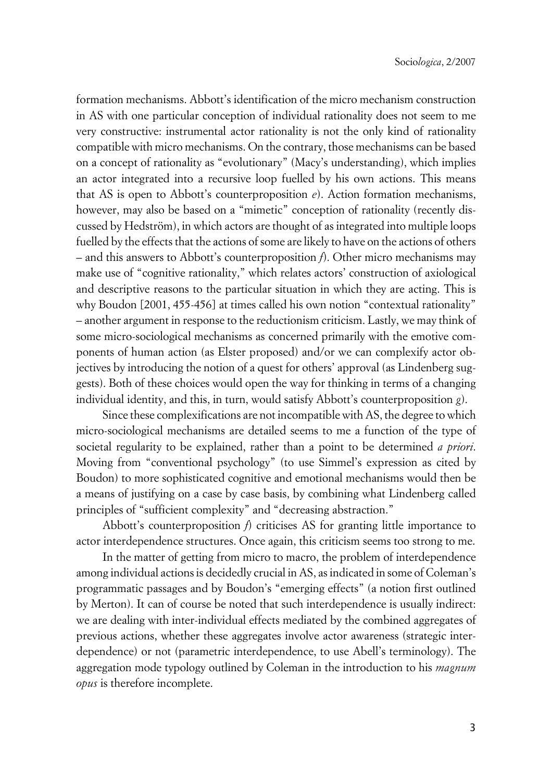formation mechanisms. Abbott's identification of the micro mechanism construction in AS with one particular conception of individual rationality does not seem to me very constructive: instrumental actor rationality is not the only kind of rationality compatible with micro mechanisms. On the contrary, those mechanisms can be based on a concept of rationality as "evolutionary" (Macy's understanding), which implies an actor integrated into a recursive loop fuelled by his own actions. This means that AS is open to Abbott's counterproposition *e*). Action formation mechanisms, however, may also be based on a "mimetic" conception of rationality (recently discussed by Hedström), in which actors are thought of as integrated into multiple loops fuelled by the effects that the actions of some are likely to have on the actions of others – and this answers to Abbott's counterproposition *f*). Other micro mechanisms may make use of "cognitive rationality," which relates actors' construction of axiological and descriptive reasons to the particular situation in which they are acting. This is why Boudon [2001, 455-456] at times called his own notion "contextual rationality" – another argument in response to the reductionism criticism. Lastly, we may think of some micro-sociological mechanisms as concerned primarily with the emotive components of human action (as Elster proposed) and/or we can complexify actor objectives by introducing the notion of a quest for others' approval (as Lindenberg suggests). Both of these choices would open the way for thinking in terms of a changing individual identity, and this, in turn, would satisfy Abbott's counterproposition *g*).

Since these complexifications are not incompatible with AS, the degree to which micro-sociological mechanisms are detailed seems to me a function of the type of societal regularity to be explained, rather than a point to be determined *a priori*. Moving from "conventional psychology" (to use Simmel's expression as cited by Boudon) to more sophisticated cognitive and emotional mechanisms would then be a means of justifying on a case by case basis, by combining what Lindenberg called principles of "sufficient complexity" and "decreasing abstraction."

Abbott's counterproposition *f*) criticises AS for granting little importance to actor interdependence structures. Once again, this criticism seems too strong to me.

In the matter of getting from micro to macro, the problem of interdependence among individual actions is decidedly crucial in AS, as indicated in some of Coleman's programmatic passages and by Boudon's "emerging effects" (a notion first outlined by Merton). It can of course be noted that such interdependence is usually indirect: we are dealing with inter-individual effects mediated by the combined aggregates of previous actions, whether these aggregates involve actor awareness (strategic interdependence) or not (parametric interdependence, to use Abell's terminology). The aggregation mode typology outlined by Coleman in the introduction to his *magnum opus* is therefore incomplete.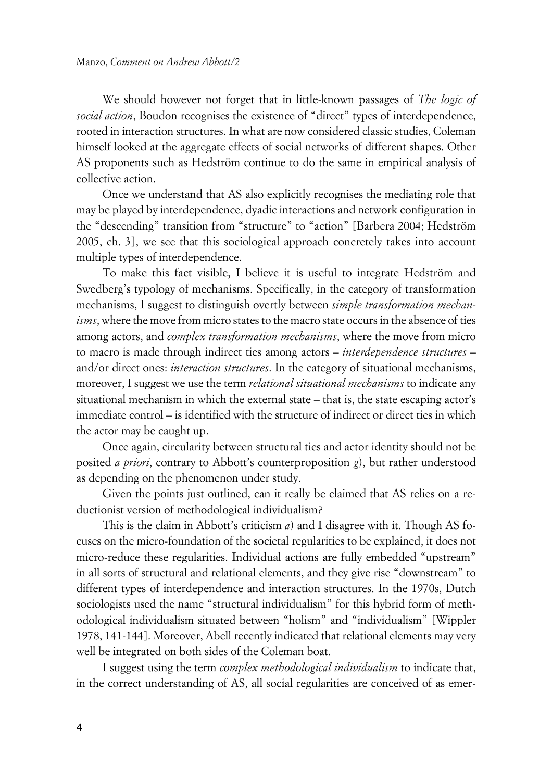We should however not forget that in little-known passages of *The logic of social action*, Boudon recognises the existence of "direct" types of interdependence, rooted in interaction structures. In what are now considered classic studies, Coleman himself looked at the aggregate effects of social networks of different shapes. Other AS proponents such as Hedström continue to do the same in empirical analysis of collective action.

Once we understand that AS also explicitly recognises the mediating role that may be played by interdependence, dyadic interactions and network configuration in the "descending" transition from "structure" to "action" [Barbera 2004; Hedström 2005, ch. 3], we see that this sociological approach concretely takes into account multiple types of interdependence.

To make this fact visible, I believe it is useful to integrate Hedström and Swedberg's typology of mechanisms. Specifically, in the category of transformation mechanisms, I suggest to distinguish overtly between *simple transformation mechanisms*, where the move from micro states to the macro state occurs in the absence of ties among actors, and *complex transformation mechanisms*, where the move from micro to macro is made through indirect ties among actors – *interdependence structures* – and/or direct ones: *interaction structures*. In the category of situational mechanisms, moreover, I suggest we use the term *relational situational mechanisms* to indicate any situational mechanism in which the external state – that is, the state escaping actor's immediate control – is identified with the structure of indirect or direct ties in which the actor may be caught up.

Once again, circularity between structural ties and actor identity should not be posited *a priori*, contrary to Abbott's counterproposition *g*), but rather understood as depending on the phenomenon under study.

Given the points just outlined, can it really be claimed that AS relies on a reductionist version of methodological individualism?

This is the claim in Abbott's criticism *a*) and I disagree with it. Though AS focuses on the micro-foundation of the societal regularities to be explained, it does not micro-reduce these regularities. Individual actions are fully embedded "upstream" in all sorts of structural and relational elements, and they give rise "downstream" to different types of interdependence and interaction structures. In the 1970s, Dutch sociologists used the name "structural individualism" for this hybrid form of methodological individualism situated between "holism" and "individualism" [Wippler 1978, 141-144]. Moreover, Abell recently indicated that relational elements may very well be integrated on both sides of the Coleman boat.

I suggest using the term *complex methodological individualism* to indicate that, in the correct understanding of AS, all social regularities are conceived of as emer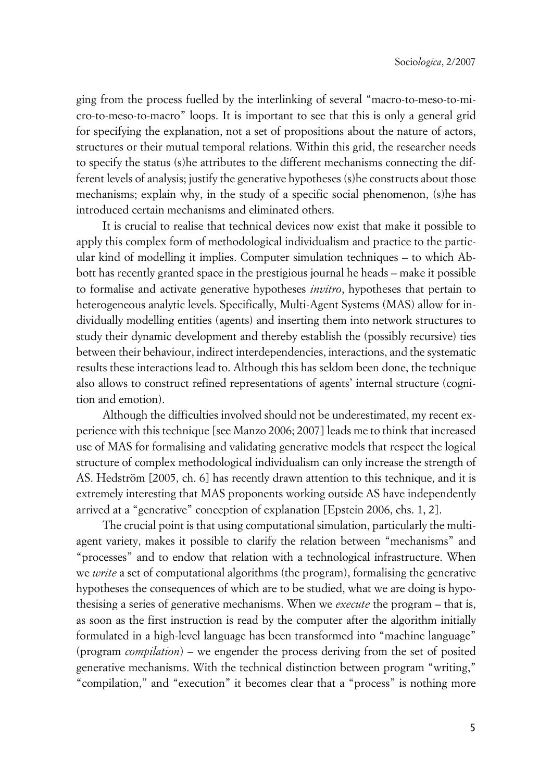ging from the process fuelled by the interlinking of several "macro-to-meso-to-micro-to-meso-to-macro" loops. It is important to see that this is only a general grid for specifying the explanation, not a set of propositions about the nature of actors, structures or their mutual temporal relations. Within this grid, the researcher needs to specify the status (s)he attributes to the different mechanisms connecting the different levels of analysis; justify the generative hypotheses (s)he constructs about those mechanisms; explain why, in the study of a specific social phenomenon, (s)he has introduced certain mechanisms and eliminated others.

It is crucial to realise that technical devices now exist that make it possible to apply this complex form of methodological individualism and practice to the particular kind of modelling it implies. Computer simulation techniques – to which Abbott has recently granted space in the prestigious journal he heads – make it possible to formalise and activate generative hypotheses *invitro*, hypotheses that pertain to heterogeneous analytic levels. Specifically, Multi-Agent Systems (MAS) allow for individually modelling entities (agents) and inserting them into network structures to study their dynamic development and thereby establish the (possibly recursive) ties between their behaviour, indirect interdependencies, interactions, and the systematic results these interactions lead to. Although this has seldom been done, the technique also allows to construct refined representations of agents' internal structure (cognition and emotion).

Although the difficulties involved should not be underestimated, my recent experience with this technique [see Manzo 2006; 2007] leads me to think that increased use of MAS for formalising and validating generative models that respect the logical structure of complex methodological individualism can only increase the strength of AS. Hedström [2005, ch. 6] has recently drawn attention to this technique, and it is extremely interesting that MAS proponents working outside AS have independently arrived at a "generative" conception of explanation [Epstein 2006, chs. 1, 2].

The crucial point is that using computational simulation, particularly the multiagent variety, makes it possible to clarify the relation between "mechanisms" and "processes" and to endow that relation with a technological infrastructure. When we *write* a set of computational algorithms (the program), formalising the generative hypotheses the consequences of which are to be studied, what we are doing is hypothesising a series of generative mechanisms. When we *execute* the program – that is, as soon as the first instruction is read by the computer after the algorithm initially formulated in a high-level language has been transformed into "machine language" (program *compilation*) – we engender the process deriving from the set of posited generative mechanisms. With the technical distinction between program "writing," "compilation," and "execution" it becomes clear that a "process" is nothing more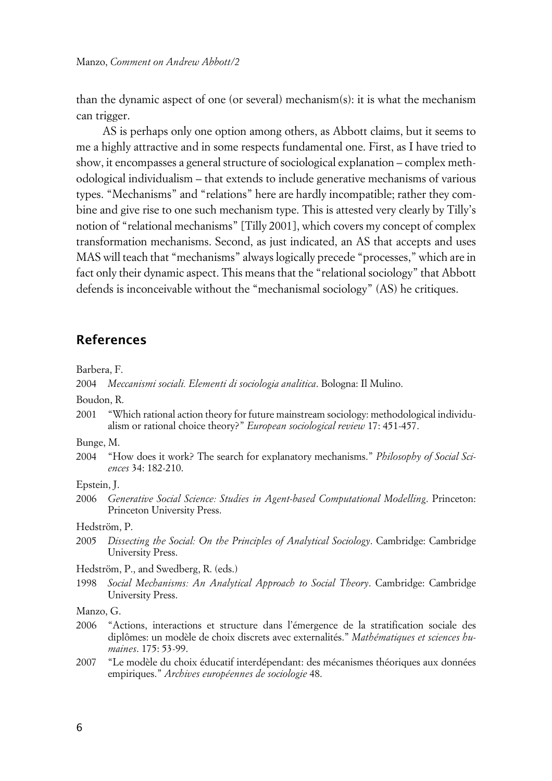than the dynamic aspect of one (or several) mechanism(s): it is what the mechanism can trigger.

AS is perhaps only one option among others, as Abbott claims, but it seems to me a highly attractive and in some respects fundamental one. First, as I have tried to show, it encompasses a general structure of sociological explanation – complex methodological individualism – that extends to include generative mechanisms of various types. "Mechanisms" and "relations" here are hardly incompatible; rather they combine and give rise to one such mechanism type. This is attested very clearly by Tilly's notion of "relational mechanisms" [Tilly 2001], which covers my concept of complex transformation mechanisms. Second, as just indicated, an AS that accepts and uses MAS will teach that "mechanisms" always logically precede "processes," which are in fact only their dynamic aspect. This means that the "relational sociology" that Abbott defends is inconceivable without the "mechanismal sociology" (AS) he critiques.

## **References**

Barbera, F.

2004 *Meccanismi sociali. Elementi di sociologia analitica*. Bologna: Il Mulino.

Boudon, R.

2001 "Which rational action theory for future mainstream sociology: methodological individualism or rational choice theory?" *European sociological review* 17: 451-457.

Bunge, M.

2004 "How does it work? The search for explanatory mechanisms." *Philosophy of Social Sciences* 34: 182-210.

Epstein, J.

2006 *Generative Social Science: Studies in Agent-based Computational Modelling*. Princeton: Princeton University Press.

Hedström, P.

2005 *Dissecting the Social: On the Principles of Analytical Sociology*. Cambridge: Cambridge University Press.

Hedström, P., and Swedberg, R. (eds.)

1998 *Social Mechanisms: An Analytical Approach to Social Theory*. Cambridge: Cambridge University Press.

Manzo, G.

- 2006 "Actions, interactions et structure dans l'émergence de la stratification sociale des diplômes: un modèle de choix discrets avec externalités." *Mathématiques et sciences humaines*. 175: 53-99.
- 2007 "Le modèle du choix éducatif interdépendant: des mécanismes théoriques aux données empiriques." *Archives européennes de sociologie* 48.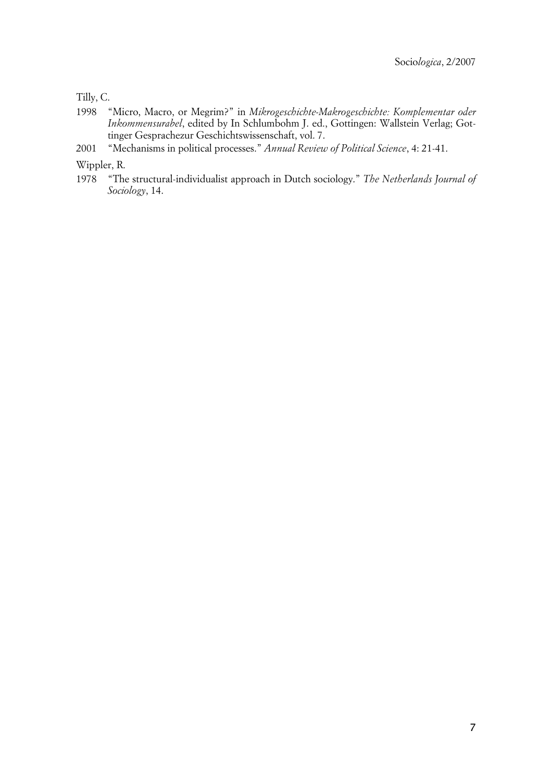Tilly, C.

- 1998 "Micro, Macro, or Megrim?" in *Mikrogeschichte-Makrogeschichte: Komplementar oder Inkommensurabel*, edited by In Schlumbohm J. ed., Gottingen: Wallstein Verlag; Gottinger Gesprachezur Geschichtswissenschaft, vol. 7.
- 2001 "Mechanisms in political processes." *Annual Review of Political Science*, 4: 21-41.

Wippler, R.

1978 "The structural-individualist approach in Dutch sociology." *The Netherlands Journal of Sociology*, 14.